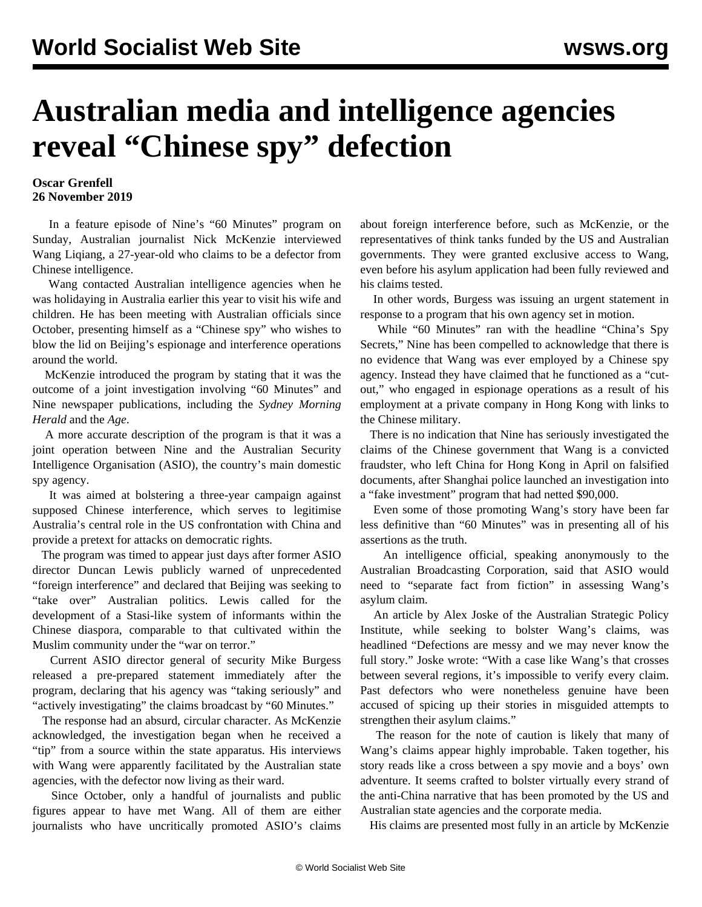## **Australian media and intelligence agencies reveal "Chinese spy" defection**

## **Oscar Grenfell 26 November 2019**

 In a feature episode of Nine's "60 Minutes" program on Sunday, Australian journalist Nick McKenzie interviewed Wang Liqiang, a 27-year-old who claims to be a defector from Chinese intelligence.

 Wang contacted Australian intelligence agencies when he was holidaying in Australia earlier this year to visit his wife and children. He has been meeting with Australian officials since October, presenting himself as a "Chinese spy" who wishes to blow the lid on Beijing's espionage and interference operations around the world.

 McKenzie introduced the program by stating that it was the outcome of a joint investigation involving "60 Minutes" and Nine newspaper publications, including the *Sydney Morning Herald* and the *Age*.

 A more accurate description of the program is that it was a joint operation between Nine and the Australian Security Intelligence Organisation (ASIO), the country's main domestic spy agency.

 It was aimed at bolstering a three-year campaign against supposed Chinese interference, which serves to legitimise Australia's central role in the US confrontation with China and provide a pretext for attacks on democratic rights.

 The program was timed to appear just days after former ASIO director Duncan Lewis publicly warned of unprecedented "foreign interference" and declared that Beijing was seeking to "take over" Australian politics. Lewis called for the development of a Stasi-like system of informants within the Chinese diaspora, comparable to that cultivated within the Muslim community under the "war on terror."

 Current ASIO director general of security Mike Burgess released a pre-prepared statement immediately after the program, declaring that his agency was "taking seriously" and "actively investigating" the claims broadcast by "60 Minutes."

 The response had an absurd, circular character. As McKenzie acknowledged, the investigation began when he received a "tip" from a source within the state apparatus. His interviews with Wang were apparently facilitated by the Australian state agencies, with the defector now living as their ward.

 Since October, only a handful of journalists and public figures appear to have met Wang. All of them are either journalists who have uncritically promoted ASIO's claims about foreign interference before, such as McKenzie, or the representatives of think tanks funded by the US and Australian governments. They were granted exclusive access to Wang, even before his asylum application had been fully reviewed and his claims tested.

 In other words, Burgess was issuing an urgent statement in response to a program that his own agency set in motion.

 While "60 Minutes" ran with the headline "China's Spy Secrets," Nine has been compelled to acknowledge that there is no evidence that Wang was ever employed by a Chinese spy agency. Instead they have claimed that he functioned as a "cutout," who engaged in espionage operations as a result of his employment at a private company in Hong Kong with links to the Chinese military.

 There is no indication that Nine has seriously investigated the claims of the Chinese government that Wang is a convicted fraudster, who left China for Hong Kong in April on falsified documents, after Shanghai police launched an investigation into a "fake investment" program that had netted \$90,000.

 Even some of those promoting Wang's story have been far less definitive than "60 Minutes" was in presenting all of his assertions as the truth.

 An intelligence official, speaking anonymously to the Australian Broadcasting Corporation, said that ASIO would need to "separate fact from fiction" in assessing Wang's asylum claim.

 An article by Alex Joske of the Australian Strategic Policy Institute, while seeking to bolster Wang's claims, was headlined "Defections are messy and we may never know the full story." Joske wrote: "With a case like Wang's that crosses between several regions, it's impossible to verify every claim. Past defectors who were nonetheless genuine have been accused of spicing up their stories in misguided attempts to strengthen their asylum claims."

 The reason for the note of caution is likely that many of Wang's claims appear highly improbable. Taken together, his story reads like a cross between a spy movie and a boys' own adventure. It seems crafted to bolster virtually every strand of the anti-China narrative that has been promoted by the US and Australian state agencies and the corporate media.

His claims are presented most fully in an article by McKenzie